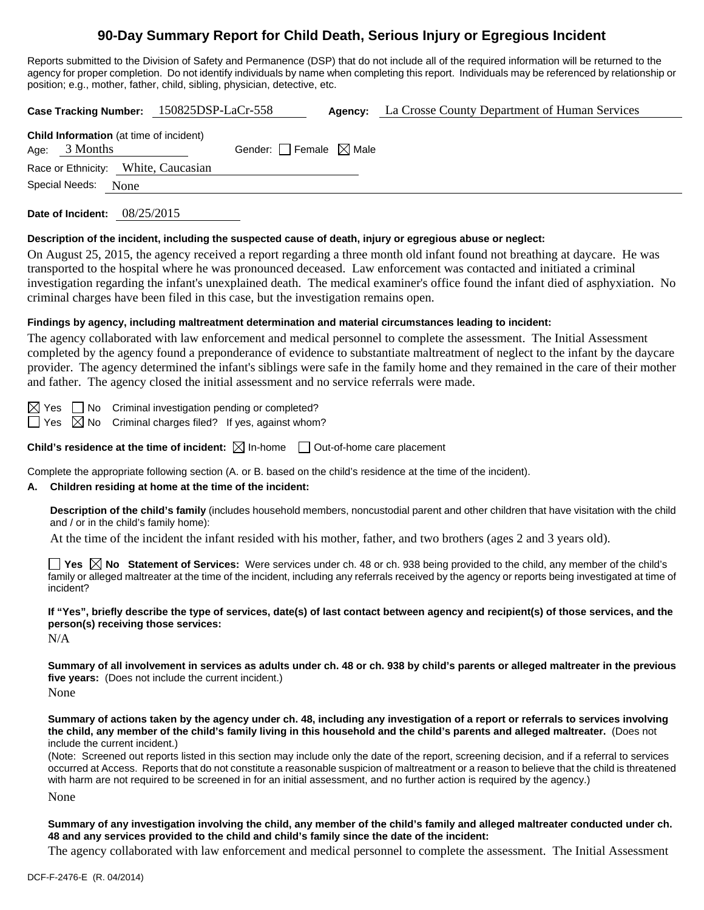# **90-Day Summary Report for Child Death, Serious Injury or Egregious Incident**

Reports submitted to the Division of Safety and Permanence (DSP) that do not include all of the required information will be returned to the agency for proper completion. Do not identify individuals by name when completing this report. Individuals may be referenced by relationship or position; e.g., mother, father, child, sibling, physician, detective, etc.

**Case Tracking Number:** 150825DSP-LaCr-558 **Agency:** La Crosse County Department of Human Services **Child Information** (at time of incident) Age:  $3$  Months Gender: Female  $\boxtimes$  Male Race or Ethnicity: White, Caucasian Special Needs: None

**Date of Incident:** 08/25/2015

#### **Description of the incident, including the suspected cause of death, injury or egregious abuse or neglect:**

On August 25, 2015, the agency received a report regarding a three month old infant found not breathing at daycare. He was transported to the hospital where he was pronounced deceased. Law enforcement was contacted and initiated a criminal investigation regarding the infant's unexplained death. The medical examiner's office found the infant died of asphyxiation. No criminal charges have been filed in this case, but the investigation remains open.

### **Findings by agency, including maltreatment determination and material circumstances leading to incident:**

The agency collaborated with law enforcement and medical personnel to complete the assessment. The Initial Assessment completed by the agency found a preponderance of evidence to substantiate maltreatment of neglect to the infant by the daycare provider. The agency determined the infant's siblings were safe in the family home and they remained in the care of their mother and father. The agency closed the initial assessment and no service referrals were made.

 $\boxtimes$  Yes  $\Box$  No Criminal investigation pending or completed?  $\Box$  Yes  $\boxtimes$  No Criminal charges filed? If yes, against whom?

**Child's residence at the time of incident:**  $\boxtimes$  In-home  $\Box$  Out-of-home care placement

Complete the appropriate following section (A. or B. based on the child's residence at the time of the incident).

## **A. Children residing at home at the time of the incident:**

**Description of the child's family** (includes household members, noncustodial parent and other children that have visitation with the child and / or in the child's family home):

At the time of the incident the infant resided with his mother, father, and two brothers (ages 2 and 3 years old).

**Yes No Statement of Services:** Were services under ch. 48 or ch. 938 being provided to the child, any member of the child's family or alleged maltreater at the time of the incident, including any referrals received by the agency or reports being investigated at time of incident?

**If "Yes", briefly describe the type of services, date(s) of last contact between agency and recipient(s) of those services, and the person(s) receiving those services:** 

N/A

**Summary of all involvement in services as adults under ch. 48 or ch. 938 by child's parents or alleged maltreater in the previous five years:** (Does not include the current incident.)

None

**Summary of actions taken by the agency under ch. 48, including any investigation of a report or referrals to services involving the child, any member of the child's family living in this household and the child's parents and alleged maltreater.** (Does not include the current incident.)

(Note: Screened out reports listed in this section may include only the date of the report, screening decision, and if a referral to services occurred at Access. Reports that do not constitute a reasonable suspicion of maltreatment or a reason to believe that the child is threatened with harm are not required to be screened in for an initial assessment, and no further action is required by the agency.)

None

**Summary of any investigation involving the child, any member of the child's family and alleged maltreater conducted under ch. 48 and any services provided to the child and child's family since the date of the incident:** 

The agency collaborated with law enforcement and medical personnel to complete the assessment. The Initial Assessment